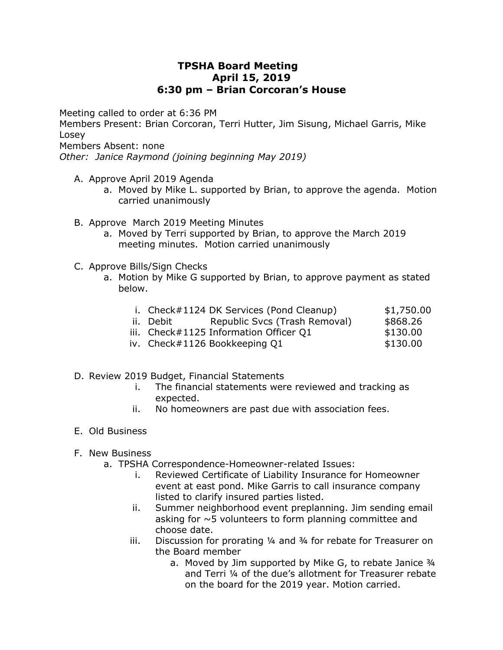## **TPSHA Board Meeting April 15, 2019 6:30 pm – Brian Corcoran's House**

Meeting called to order at 6:36 PM

Members Present: Brian Corcoran, Terri Hutter, Jim Sisung, Michael Garris, Mike Losey

Members Absent: none

*Other: Janice Raymond (joining beginning May 2019)*

- A. Approve April 2019 Agenda
	- a. Moved by Mike L. supported by Brian, to approve the agenda. Motion carried unanimously
- B. Approve March 2019 Meeting Minutes
	- a. Moved by Terri supported by Brian, to approve the March 2019 meeting minutes. Motion carried unanimously
- C. Approve Bills/Sign Checks
	- a. Motion by Mike G supported by Brian, to approve payment as stated below.

|  | i. Check#1124 DK Services (Pond Cleanup) |  | \$1,750.00 |
|--|------------------------------------------|--|------------|
|--|------------------------------------------|--|------------|

- ii. Debit Republic Svcs (Trash Removal) \$868.26
- iii. Check#1125 Information Officer 01 \$130.00
- iv.  $Check#1126 Bookkeeping Q1$  \$130.00
- D. Review 2019 Budget, Financial Statements
	- i. The financial statements were reviewed and tracking as expected.
	- ii. No homeowners are past due with association fees.
- E. Old Business
- F. New Business
	- a. TPSHA Correspondence-Homeowner-related Issues:
		- i. Reviewed Certificate of Liability Insurance for Homeowner event at east pond. Mike Garris to call insurance company listed to clarify insured parties listed.
		- ii. Summer neighborhood event preplanning. Jim sending email asking for  $\sim$  5 volunteers to form planning committee and choose date.
		- iii. Discussion for prorating ¼ and ¾ for rebate for Treasurer on the Board member
			- a. Moved by Jim supported by Mike G, to rebate Janice 3/4 and Terri ¼ of the due's allotment for Treasurer rebate on the board for the 2019 year. Motion carried.